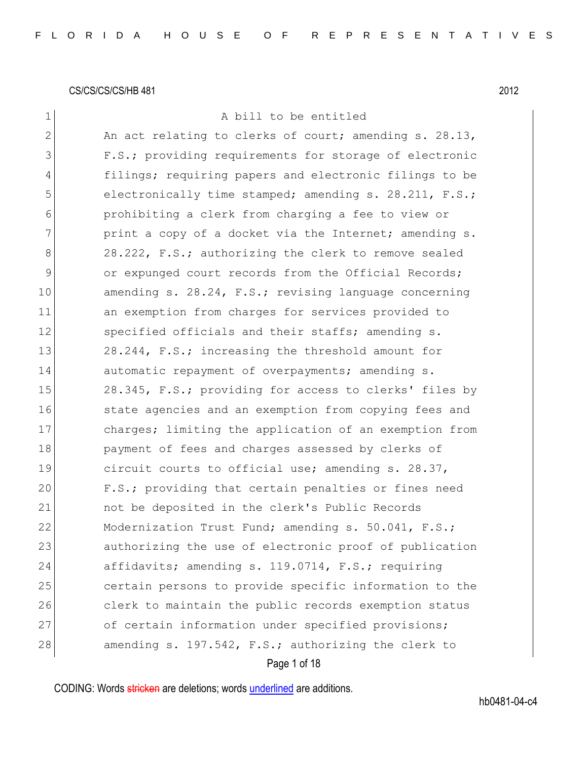# 1 A bill to be entitled

| $\mathbf{2}$  | An act relating to clerks of court; amending s. 28.13, |
|---------------|--------------------------------------------------------|
| 3             | F.S.; providing requirements for storage of electronic |
| 4             | filings; requiring papers and electronic filings to be |
| 5             | electronically time stamped; amending s. 28.211, F.S.; |
| 6             | prohibiting a clerk from charging a fee to view or     |
| 7             | print a copy of a docket via the Internet; amending s. |
| 8             | 28.222, F.S.; authorizing the clerk to remove sealed   |
| $\mathcal{G}$ | or expunged court records from the Official Records;   |
| 10            | amending s. 28.24, F.S.; revising language concerning  |
| 11            | an exemption from charges for services provided to     |
| 12            | specified officials and their staffs; amending s.      |
| 13            | 28.244, F.S.; increasing the threshold amount for      |
| 14            | automatic repayment of overpayments; amending s.       |
| 15            | 28.345, F.S.; providing for access to clerks' files by |
| 16            | state agencies and an exemption from copying fees and  |
| 17            | charges; limiting the application of an exemption from |
| 18            | payment of fees and charges assessed by clerks of      |
| 19            | circuit courts to official use; amending s. 28.37,     |
| 20            | F.S.; providing that certain penalties or fines need   |
| 21            | not be deposited in the clerk's Public Records         |
| 22            | Modernization Trust Fund; amending s. 50.041, F.S.;    |
| 23            | authorizing the use of electronic proof of publication |
| 24            | affidavits; amending s. 119.0714, F.S.; requiring      |
| 25            | certain persons to provide specific information to the |
| 26            | clerk to maintain the public records exemption status  |
| 27            | of certain information under specified provisions;     |
| 28            | amending s. 197.542, F.S.; authorizing the clerk to    |

Page 1 of 18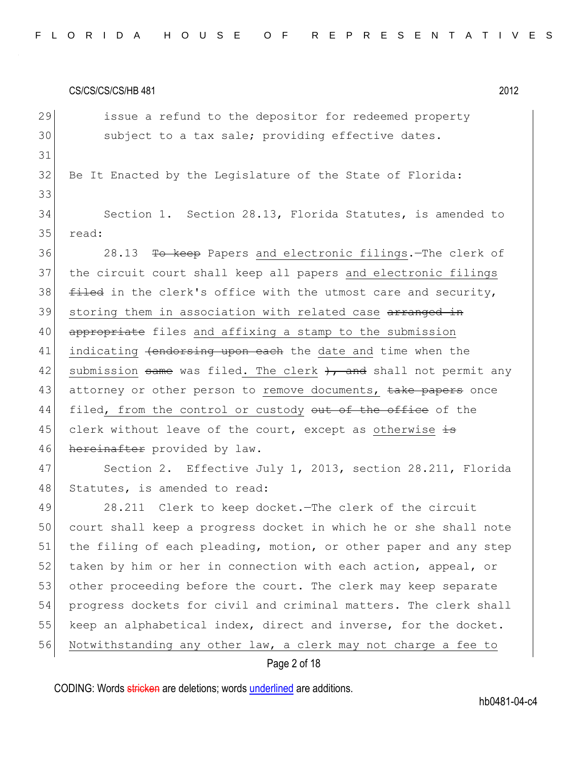29 issue a refund to the depositor for redeemed property 30 subject to a tax sale; providing effective dates. 31 32 Be It Enacted by the Legislature of the State of Florida: 33 34 Section 1. Section 28.13, Florida Statutes, is amended to 35 read: 36 28.13 To keep Papers and electronic filings. The clerk of 37 the circuit court shall keep all papers and electronic filings  $38$  filed in the clerk's office with the utmost care and security, 39 storing them in association with related case arranged in 40 appropriate files and affixing a stamp to the submission 41 indicating <del>(endorsing upon each</del> the date and time when the 42 submission same was filed. The clerk  $+$ , and shall not permit any 43 attorney or other person to remove documents, take papers once 44 filed, from the control or custody out of the office of the 45 clerk without leave of the court, except as otherwise  $\pm$ 46 hereinafter provided by law. 47 Section 2. Effective July 1, 2013, section 28.211, Florida 48 Statutes, is amended to read: 49 28.211 Clerk to keep docket. The clerk of the circuit 50 court shall keep a progress docket in which he or she shall note 51 the filing of each pleading, motion, or other paper and any step 52 taken by him or her in connection with each action, appeal, or 53 other proceeding before the court. The clerk may keep separate 54 progress dockets for civil and criminal matters. The clerk shall 55 keep an alphabetical index, direct and inverse, for the docket. 56 Notwithstanding any other law, a clerk may not charge a fee to

## Page 2 of 18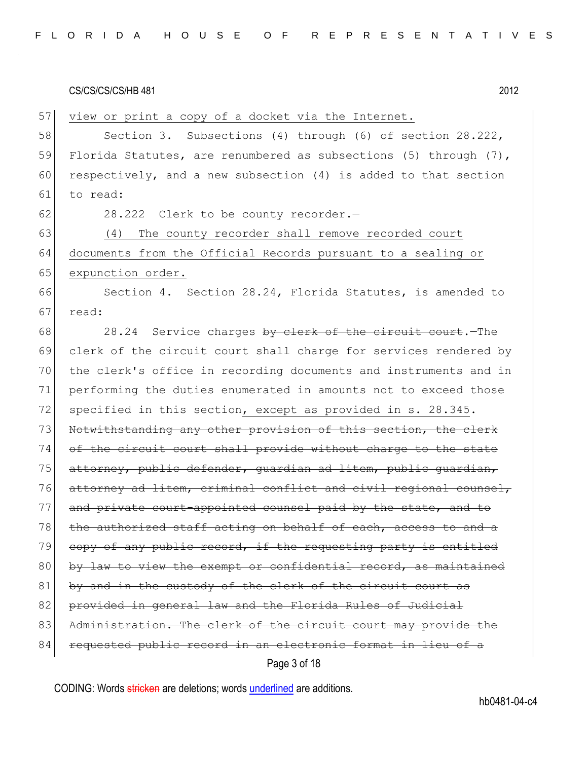| FLORIDA HOUSE OF REPRESENTATIVES |  |
|----------------------------------|--|
|----------------------------------|--|

57 view or print a copy of a docket via the Internet. 58 Section 3. Subsections (4) through (6) of section 28.222, 59 Florida Statutes, are renumbered as subsections (5) through (7), 60 respectively, and a new subsection  $(4)$  is added to that section 61 to read:  $62$  28.222 Clerk to be county recorder. 63 (4) The county recorder shall remove recorded court 64 documents from the Official Records pursuant to a sealing or 65 expunction order. 66 Section 4. Section 28.24, Florida Statutes, is amended to  $67$  read: 68 28.24 Service charges by clerk of the circuit court. The 69 clerk of the circuit court shall charge for services rendered by 70 the clerk's office in recording documents and instruments and in 71 performing the duties enumerated in amounts not to exceed those 72 specified in this section, except as provided in s. 28.345. 73 Notwithstanding any other provision of this section, the clerk 74 of the circuit court shall provide without charge to the state 75 attorney, public defender, quardian ad litem, public quardian, 76 attorney ad litem, criminal conflict and civil regional counsel, 77 and private court-appointed counsel paid by the state, and to 78 the authorized staff acting on behalf of each, access to and a 79 copy of any public record, if the requesting party is entitled 80 by law to view the exempt or confidential record, as maintained  $81$  by and in the custody of the clerk of the circuit court as 82 provided in general law and the Florida Rules of Judicial 83 Administration. The clerk of the circuit court may provide the 84 requested public record in an electronic format in lieu of

Page 3 of 18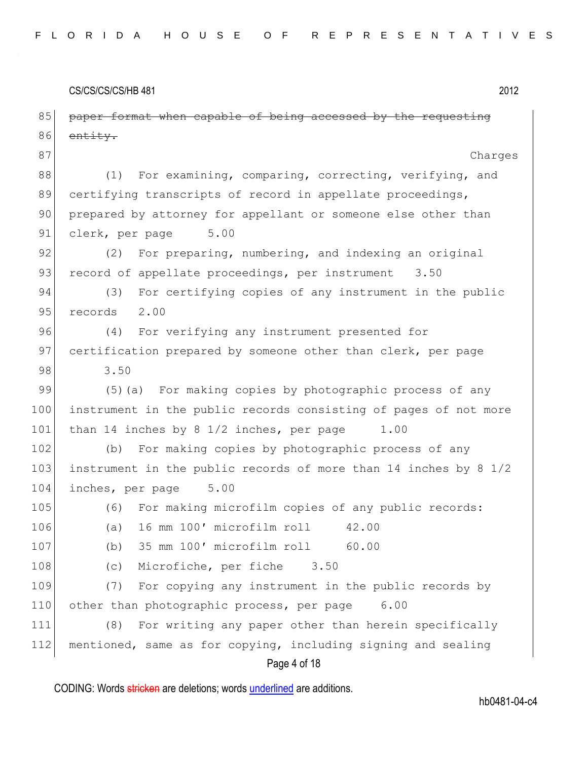CS/CS/CS/HB 481 2012 Page 4 of 18 85 paper format when capable of being accessed by the requesting 86 entity. 87 Charges 88 (1) For examining, comparing, correcting, verifying, and 89 certifying transcripts of record in appellate proceedings, 90 prepared by attorney for appellant or someone else other than 91 clerk, per page 5.00 92 (2) For preparing, numbering, and indexing an original 93 record of appellate proceedings, per instrument 3.50 94 (3) For certifying copies of any instrument in the public 95 records 2.00 96 (4) For verifying any instrument presented for 97 certification prepared by someone other than clerk, per page 98 3.50 99 (5)(a) For making copies by photographic process of any 100 instrument in the public records consisting of pages of not more 101 than 14 inches by 8 1/2 inches, per page 1.00 102 (b) For making copies by photographic process of any 103 instrument in the public records of more than 14 inches by 8 1/2 104 inches, per page 5.00 105 (6) For making microfilm copies of any public records: 106 (a) 16 mm 100' microfilm roll 42.00 107 (b) 35 mm 100′ microfilm roll 60.00 108 (c) Microfiche, per fiche 3.50 109 (7) For copying any instrument in the public records by 110 other than photographic process, per page 6.00 111 (8) For writing any paper other than herein specifically 112 mentioned, same as for copying, including signing and sealing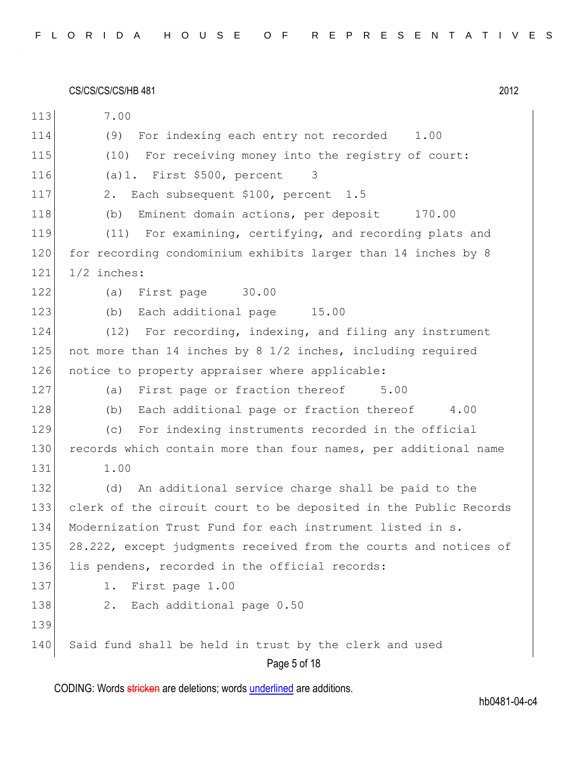CS/CS/CS/CS/HB 481 2012 Page 5 of 18 113 7.00 114 (9) For indexing each entry not recorded 1.00 115 (10) For receiving money into the registry of court: 116 (a)1. First \$500, percent 3 117 2. Each subsequent \$100, percent 1.5 118 (b) Eminent domain actions, per deposit 170.00 119 (11) For examining, certifying, and recording plats and 120 for recording condominium exhibits larger than 14 inches by 8 121 1/2 inches: 122 (a) First page 30.00 123 (b) Each additional page 15.00 124 (12) For recording, indexing, and filing any instrument 125 not more than 14 inches by 8 1/2 inches, including required 126 notice to property appraiser where applicable: 127 (a) First page or fraction thereof 5.00 128 (b) Each additional page or fraction thereof 4.00 129 (c) For indexing instruments recorded in the official 130 records which contain more than four names, per additional name 131 1.00 132 (d) An additional service charge shall be paid to the 133 clerk of the circuit court to be deposited in the Public Records 134 Modernization Trust Fund for each instrument listed in s. 135 28.222, except judgments received from the courts and notices of 136 lis pendens, recorded in the official records: 137 1. First page 1.00 138 2. Each additional page 0.50 139 140 Said fund shall be held in trust by the clerk and used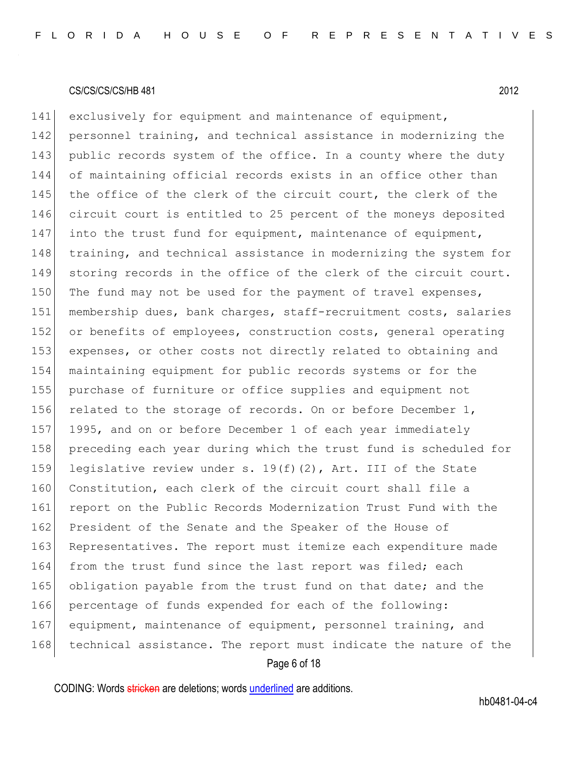Page 6 of 18 141 exclusively for equipment and maintenance of equipment, 142 personnel training, and technical assistance in modernizing the 143 public records system of the office. In a county where the duty 144 of maintaining official records exists in an office other than 145 the office of the clerk of the circuit court, the clerk of the 146 circuit court is entitled to 25 percent of the moneys deposited 147 into the trust fund for equipment, maintenance of equipment, 148 training, and technical assistance in modernizing the system for 149 storing records in the office of the clerk of the circuit court. 150 The fund may not be used for the payment of travel expenses, 151 membership dues, bank charges, staff-recruitment costs, salaries 152 or benefits of employees, construction costs, general operating 153 expenses, or other costs not directly related to obtaining and 154 maintaining equipment for public records systems or for the 155 purchase of furniture or office supplies and equipment not 156 related to the storage of records. On or before December  $1$ , 157 1995, and on or before December 1 of each year immediately 158 preceding each year during which the trust fund is scheduled for 159 legislative review under s. 19(f)(2), Art. III of the State 160 Constitution, each clerk of the circuit court shall file a 161 report on the Public Records Modernization Trust Fund with the 162 President of the Senate and the Speaker of the House of 163 Representatives. The report must itemize each expenditure made 164 from the trust fund since the last report was filed; each 165 obligation payable from the trust fund on that date; and the 166 percentage of funds expended for each of the following: 167 equipment, maintenance of equipment, personnel training, and 168 technical assistance. The report must indicate the nature of the

CODING: Words stricken are deletions; words underlined are additions.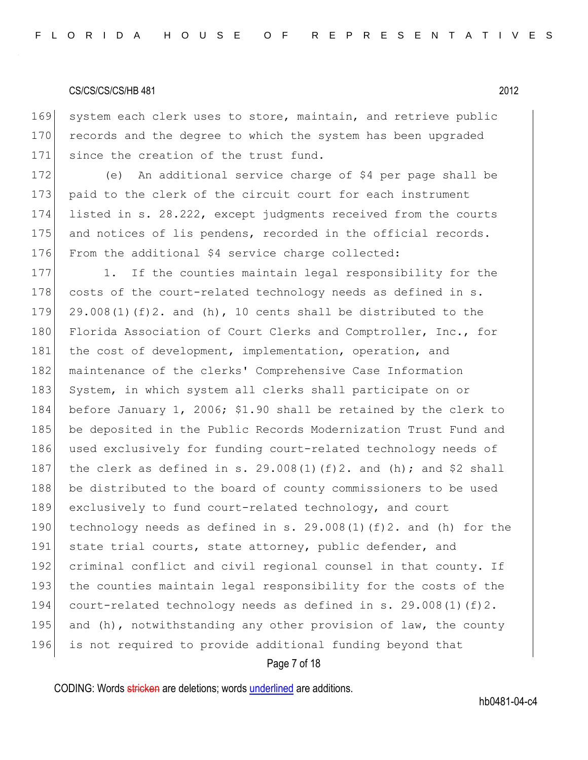169 system each clerk uses to store, maintain, and retrieve public 170 records and the degree to which the system has been upgraded 171 since the creation of the trust fund.

172 (e) An additional service charge of \$4 per page shall be 173 paid to the clerk of the circuit court for each instrument 174 listed in s. 28.222, except judgments received from the courts 175 and notices of lis pendens, recorded in the official records. 176 From the additional \$4 service charge collected:

177 1. If the counties maintain legal responsibility for the 178 costs of the court-related technology needs as defined in  $s$ . 179 29.008(1)(f)2. and (h), 10 cents shall be distributed to the 180 Florida Association of Court Clerks and Comptroller, Inc., for 181 the cost of development, implementation, operation, and 182 maintenance of the clerks' Comprehensive Case Information 183 System, in which system all clerks shall participate on or 184 before January 1, 2006; \$1.90 shall be retained by the clerk to 185 be deposited in the Public Records Modernization Trust Fund and 186 used exclusively for funding court-related technology needs of 187 the clerk as defined in s.  $29.008(1)(f)2$ . and (h); and \$2 shall 188 be distributed to the board of county commissioners to be used 189 exclusively to fund court-related technology, and court 190 technology needs as defined in s.  $29.008(1)(f)2$ . and (h) for the 191 state trial courts, state attorney, public defender, and 192 criminal conflict and civil regional counsel in that county. If 193 the counties maintain legal responsibility for the costs of the 194 court-related technology needs as defined in s. 29.008(1)(f)2. 195 and (h), notwithstanding any other provision of law, the county 196 is not required to provide additional funding beyond that

## Page 7 of 18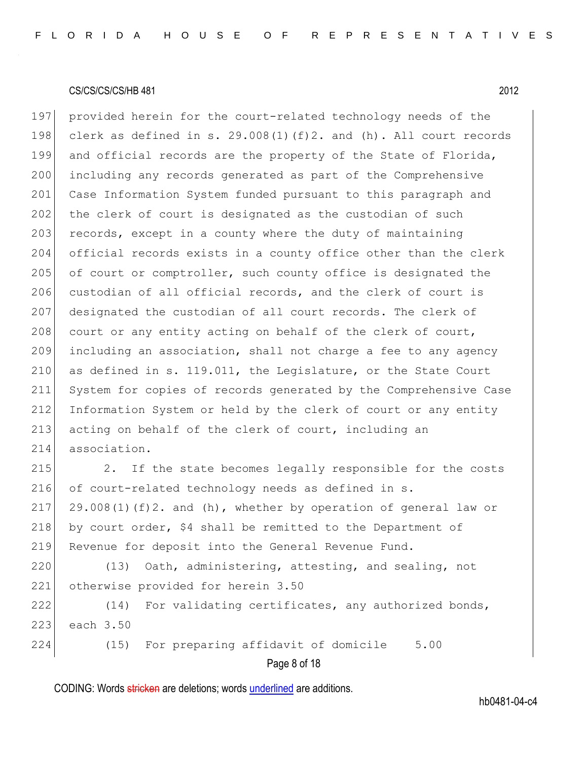197 provided herein for the court-related technology needs of the 198 clerk as defined in s. 29.008(1)(f)2. and (h). All court records 199 and official records are the property of the State of Florida, 200 including any records generated as part of the Comprehensive 201 Case Information System funded pursuant to this paragraph and 202 the clerk of court is designated as the custodian of such  $203$  records, except in a county where the duty of maintaining 204 official records exists in a county office other than the clerk 205 of court or comptroller, such county office is designated the 206 custodian of all official records, and the clerk of court is 207 designated the custodian of all court records. The clerk of 208 court or any entity acting on behalf of the clerk of court, 209 including an association, shall not charge a fee to any agency 210 as defined in s. 119.011, the Legislature, or the State Court 211 System for copies of records generated by the Comprehensive Case 212 Information System or held by the clerk of court or any entity 213 acting on behalf of the clerk of court, including an 214 association.

215 2. If the state becomes legally responsible for the costs 216 of court-related technology needs as defined in s. 217 29.008(1)(f)2. and (h), whether by operation of general law or 218 by court order,  $$4$  shall be remitted to the Department of 219 Revenue for deposit into the General Revenue Fund.

220 (13) Oath, administering, attesting, and sealing, not 221 otherwise provided for herein 3.50 222 (14) For validating certificates, any authorized bonds,

223 each 3.50

Page 8 of 18 224 (15) For preparing affidavit of domicile 5.00

CODING: Words stricken are deletions; words underlined are additions.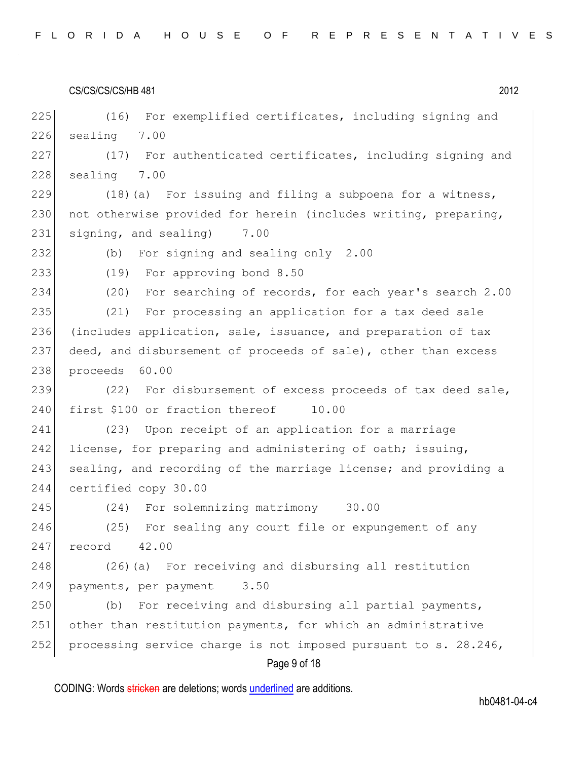| CS/CS/CS/CS/HB 481 | 2012 |
|--------------------|------|
|--------------------|------|

Page 9 of 18 225 (16) For exemplified certificates, including signing and 226 sealing 7.00 227 (17) For authenticated certificates, including signing and 228 sealing 7.00 229  $(18)(a)$  For issuing and filing a subpoena for a witness, 230 not otherwise provided for herein (includes writing, preparing, 231 signing, and sealing) 7.00 232 (b) For signing and sealing only 2.00 233 (19) For approving bond 8.50 234 (20) For searching of records, for each year's search 2.00 235 (21) For processing an application for a tax deed sale 236 (includes application, sale, issuance, and preparation of tax 237 deed, and disbursement of proceeds of sale), other than excess 238 proceeds 60.00 239 (22) For disbursement of excess proceeds of tax deed sale, 240 first \$100 or fraction thereof 10.00 241 (23) Upon receipt of an application for a marriage 242 license, for preparing and administering of oath; issuing, 243 sealing, and recording of the marriage license; and providing a 244 certified copy 30.00 245 (24) For solemnizing matrimony 30.00 246 (25) For sealing any court file or expungement of any 247 record 42.00 248 (26) (a) For receiving and disbursing all restitution 249 payments, per payment 3.50 250 (b) For receiving and disbursing all partial payments, 251 other than restitution payments, for which an administrative 252 processing service charge is not imposed pursuant to s. 28.246,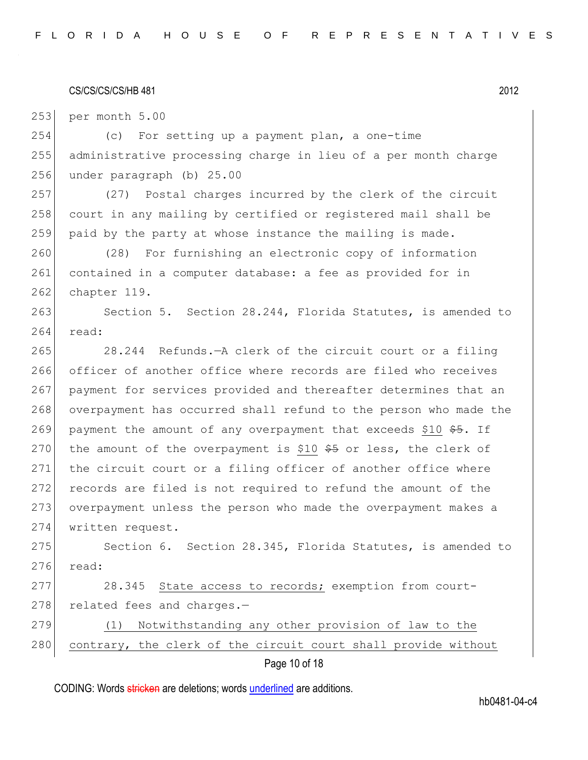253 per month 5.00

254 (c) For setting up a payment plan, a one-time 255 administrative processing charge in lieu of a per month charge 256 under paragraph (b) 25.00

257 (27) Postal charges incurred by the clerk of the circuit 258 court in any mailing by certified or registered mail shall be  $259$  paid by the party at whose instance the mailing is made.

260 (28) For furnishing an electronic copy of information 261 contained in a computer database: a fee as provided for in 262 chapter 119.

263 Section 5. Section 28.244, Florida Statutes, is amended to 264 read:

265 28.244 Refunds.—A clerk of the circuit court or a filing 266 officer of another office where records are filed who receives 267 payment for services provided and thereafter determines that an 268 overpayment has occurred shall refund to the person who made the 269 payment the amount of any overpayment that exceeds \$10  $$5.$  If 270 the amount of the overpayment is \$10  $$5$  or less, the clerk of 271 the circuit court or a filing officer of another office where 272 records are filed is not required to refund the amount of the 273 overpayment unless the person who made the overpayment makes a 274 written request.

275 Section 6. Section 28.345, Florida Statutes, is amended to 276 read:

277 28.345 State access to records; exemption from court-278 related fees and charges.-

279 (1) Notwithstanding any other provision of law to the 280 contrary, the clerk of the circuit court shall provide without

Page 10 of 18

CODING: Words stricken are deletions; words underlined are additions.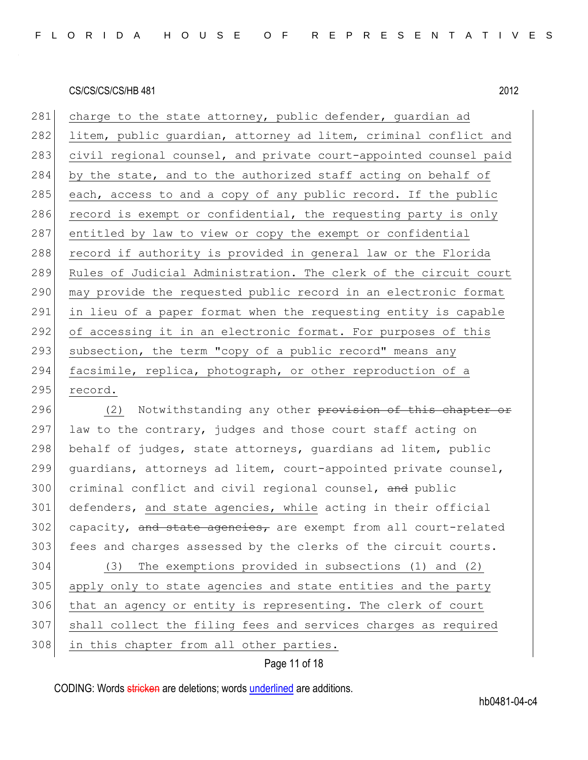281 charge to the state attorney, public defender, quardian ad 282 litem, public guardian, attorney ad litem, criminal conflict and 283 civil regional counsel, and private court-appointed counsel paid 284 by the state, and to the authorized staff acting on behalf of 285 each, access to and a copy of any public record. If the public 286 record is exempt or confidential, the requesting party is only 287 entitled by law to view or copy the exempt or confidential 288 record if authority is provided in general law or the Florida 289 Rules of Judicial Administration. The clerk of the circuit court 290 may provide the requested public record in an electronic format 291 in lieu of a paper format when the requesting entity is capable 292 of accessing it in an electronic format. For purposes of this 293 subsection, the term "copy of a public record" means any 294 facsimile, replica, photograph, or other reproduction of a 295 record.

296 (2) Notwithstanding any other provision of this chapter or 297 law to the contrary, judges and those court staff acting on 298 behalf of judges, state attorneys, guardians ad litem, public 299 guardians, attorneys ad litem, court-appointed private counsel, 300 criminal conflict and civil regional counsel, and public 301 defenders, and state agencies, while acting in their official  $302$  capacity, and state agencies, are exempt from all court-related 303 fees and charges assessed by the clerks of the circuit courts.

 (3) The exemptions provided in subsections (1) and (2) apply only to state agencies and state entities and the party that an agency or entity is representing. The clerk of court shall collect the filing fees and services charges as required 308 in this chapter from all other parties.

## Page 11 of 18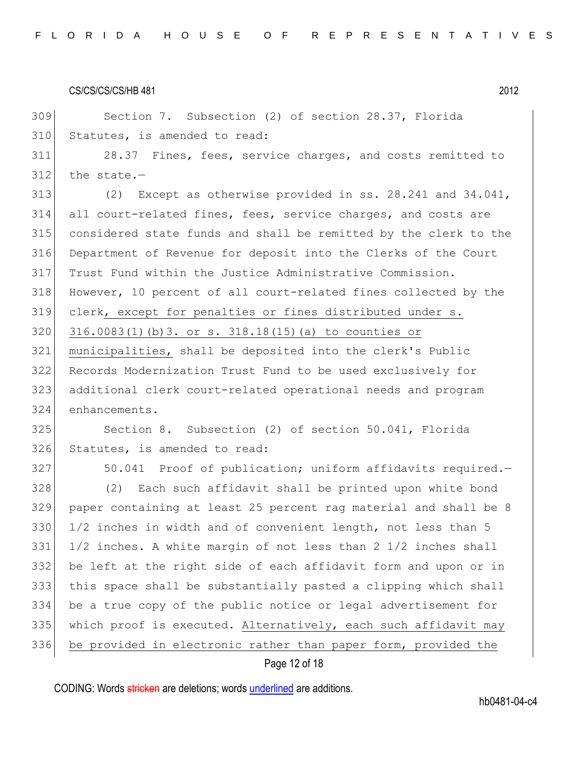Section 7. Subsection (2) of section 28.37, Florida 310 Statutes, is amended to read:

 28.37 Fines, fees, service charges, and costs remitted to the state.-

 (2) Except as otherwise provided in ss. 28.241 and 34.041, all court-related fines, fees, service charges, and costs are considered state funds and shall be remitted by the clerk to the Department of Revenue for deposit into the Clerks of the Court Trust Fund within the Justice Administrative Commission. However, 10 percent of all court-related fines collected by the clerk, except for penalties or fines distributed under s. 316.0083(1)(b)3. or s. 318.18(15)(a) to counties or municipalities, shall be deposited into the clerk's Public Records Modernization Trust Fund to be used exclusively for additional clerk court-related operational needs and program enhancements.

 Section 8. Subsection (2) of section 50.041, Florida 326 Statutes, is amended to read:

327 50.041 Proof of publication; uniform affidavits required. (2) Each such affidavit shall be printed upon white bond paper containing at least 25 percent rag material and shall be 8 1/2 inches in width and of convenient length, not less than 5  $\mid$  1/2 inches. A white margin of not less than 2 1/2 inches shall be left at the right side of each affidavit form and upon or in this space shall be substantially pasted a clipping which shall be a true copy of the public notice or legal advertisement for which proof is executed. Alternatively, each such affidavit may be provided in electronic rather than paper form, provided the

## Page 12 of 18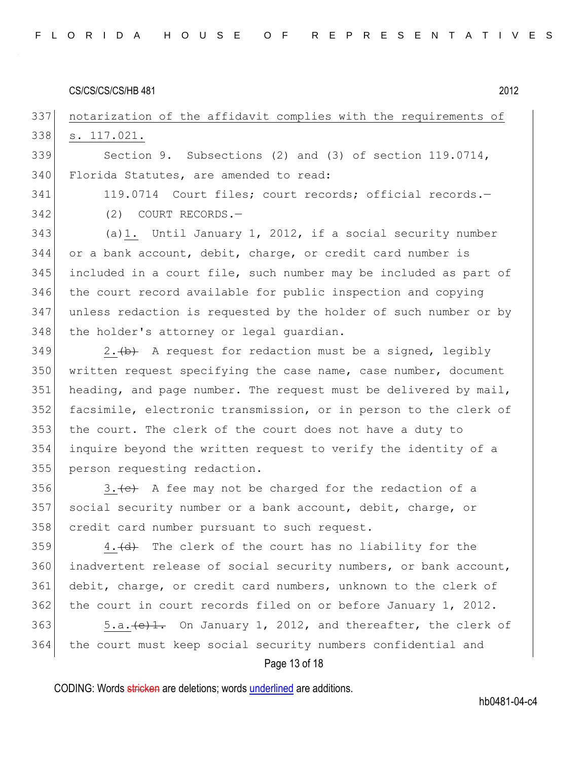## 337 notarization of the affidavit complies with the requirements of 338 s. 117.021.

339 Section 9. Subsections (2) and (3) of section 119.0714, 340 Florida Statutes, are amended to read:

341 119.0714 Court files; court records; official records. 342 (2) COURT RECORDS.—

 (a)1. Until January 1, 2012, if a social security number 344 or a bank account, debit, charge, or credit card number is included in a court file, such number may be included as part of the court record available for public inspection and copying unless redaction is requested by the holder of such number or by 348 the holder's attorney or legal quardian.

 2.  $\leftrightarrow$  A request for redaction must be a signed, legibly written request specifying the case name, case number, document 351 heading, and page number. The request must be delivered by mail, facsimile, electronic transmission, or in person to the clerk of the court. The clerk of the court does not have a duty to inquire beyond the written request to verify the identity of a person requesting redaction.

356 3.  $\leftarrow$  3.  $\leftarrow$  A fee may not be charged for the redaction of a 357 social security number or a bank account, debit, charge, or 358 credit card number pursuant to such request.

359 4.  $\left(\frac{d}{dt}\right)$  The clerk of the court has no liability for the 360 inadvertent release of social security numbers, or bank account, 361 debit, charge, or credit card numbers, unknown to the clerk of 362 the court in court records filed on or before January 1, 2012.

363  $\sim$  5.a.  $\left(\frac{e}{1} \cdot \right)$  On January 1, 2012, and thereafter, the clerk of 364 the court must keep social security numbers confidential and

## Page 13 of 18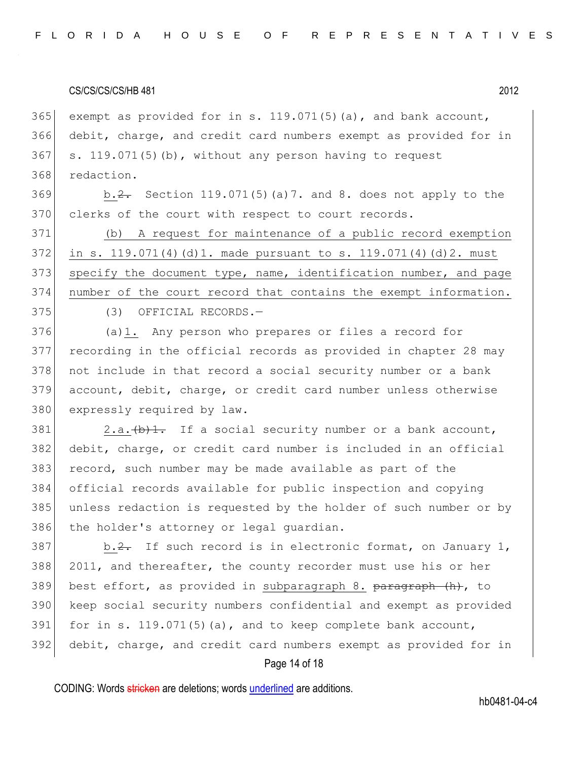365 exempt as provided for in s. 119.071(5)(a), and bank account, debit, charge, and credit card numbers exempt as provided for in s. 119.071(5)(b), without any person having to request redaction.

369 b.<del>2.</del> Section 119.071(5)(a)7. and 8. does not apply to the 370 clerks of the court with respect to court records.

 (b) A request for maintenance of a public record exemption in s. 119.071(4)(d)1. made pursuant to s. 119.071(4)(d)2. must 373 specify the document type, name, identification number, and page number of the court record that contains the exempt information.

375 (3) OFFICIAL RECORDS.

376 (a)1. Any person who prepares or files a record for 377 recording in the official records as provided in chapter 28 may 378 not include in that record a social security number or a bank 379 account, debit, charge, or credit card number unless otherwise 380 expressly required by law.

 $381$  2.a.  $\left(\frac{b}{1} \cdot \right)$  If a social security number or a bank account, 382 debit, charge, or credit card number is included in an official 383 record, such number may be made available as part of the 384 official records available for public inspection and copying 385 unless redaction is requested by the holder of such number or by 386 the holder's attorney or legal guardian.

 b.2. If such record is in electronic format, on January 1, 2011, and thereafter, the county recorder must use his or her 389 best effort, as provided in subparagraph 8.  $\frac{\text{b}+1}{\text{b}}$  (h), to keep social security numbers confidential and exempt as provided 391 for in s. 119.071(5)(a), and to keep complete bank account, debit, charge, and credit card numbers exempt as provided for in

## Page 14 of 18

CODING: Words stricken are deletions; words underlined are additions.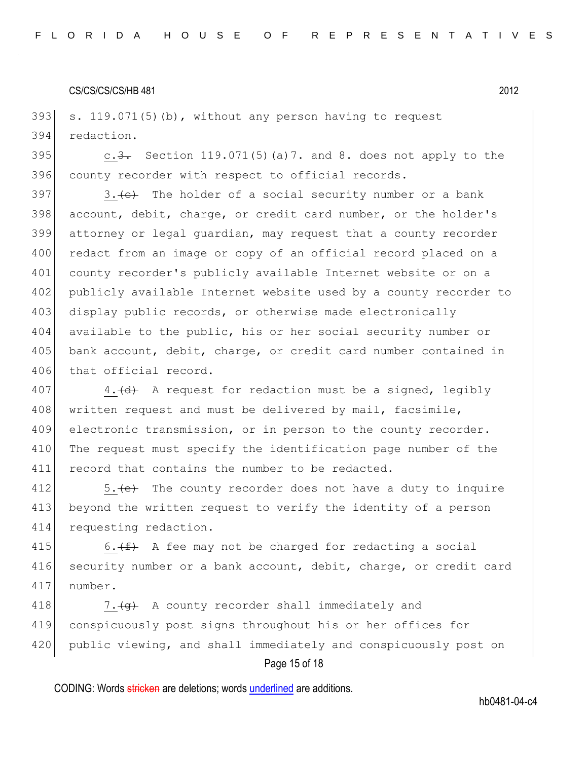393 s. 119.071(5)(b), without any person having to request 394 redaction.

395 c.3. Section 119.071(5) (a) 7. and 8. does not apply to the 396 county recorder with respect to official records.

397 3.  $\leftarrow$  The holder of a social security number or a bank 398 account, debit, charge, or credit card number, or the holder's 399 attorney or legal guardian, may request that a county recorder 400 redact from an image or copy of an official record placed on a 401 county recorder's publicly available Internet website or on a 402 publicly available Internet website used by a county recorder to 403 display public records, or otherwise made electronically 404 available to the public, his or her social security number or 405 bank account, debit, charge, or credit card number contained in 406 that official record.

407 4.  $\left(4\right)$  A request for redaction must be a signed, legibly 408 written request and must be delivered by mail, facsimile, 409 electronic transmission, or in person to the county recorder. 410 The request must specify the identification page number of the 411 record that contains the number to be redacted.

412  $\vert$  5.  $\left\{ \leftrightarrow\right\}$  The county recorder does not have a duty to inquire 413 beyond the written request to verify the identity of a person 414 requesting redaction.

415 6.  $(f)$  A fee may not be charged for redacting a social 416 security number or a bank account, debit, charge, or credit card 417 number.

418  $\vert$  7.  $\left\{ q\right\}$  A county recorder shall immediately and 419 conspicuously post signs throughout his or her offices for 420 public viewing, and shall immediately and conspicuously post on

## Page 15 of 18

CODING: Words stricken are deletions; words underlined are additions.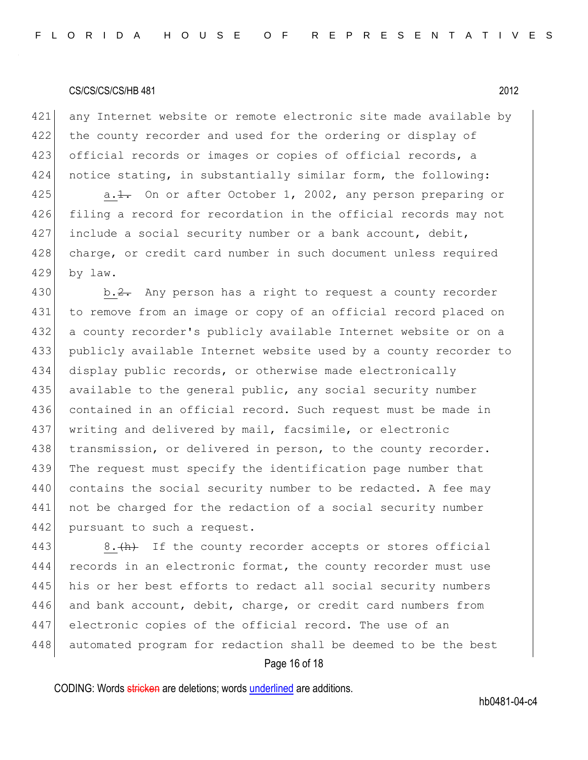421 any Internet website or remote electronic site made available by 422 the county recorder and used for the ordering or display of 423 official records or images or copies of official records, a 424 notice stating, in substantially similar form, the following: 425 a.<del>1.</del> On or after October 1, 2002, any person preparing or 426 filing a record for recordation in the official records may not

427 include a social security number or a bank account, debit, 428 charge, or credit card number in such document unless required 429 by law.

430 b.  $\frac{2}{2}$ . Any person has a right to request a county recorder 431 to remove from an image or copy of an official record placed on 432 a county recorder's publicly available Internet website or on a 433 publicly available Internet website used by a county recorder to 434 display public records, or otherwise made electronically 435 available to the general public, any social security number 436 contained in an official record. Such request must be made in 437 writing and delivered by mail, facsimile, or electronic 438 transmission, or delivered in person, to the county recorder. 439 The request must specify the identification page number that 440 contains the social security number to be redacted. A fee may 441 not be charged for the redaction of a social security number 442 pursuant to such a request.

443 8. $\frac{h}{h}$  If the county recorder accepts or stores official 444 records in an electronic format, the county recorder must use 445 his or her best efforts to redact all social security numbers 446 and bank account, debit, charge, or credit card numbers from 447 electronic copies of the official record. The use of an 448 automated program for redaction shall be deemed to be the best

## Page 16 of 18

CODING: Words stricken are deletions; words underlined are additions.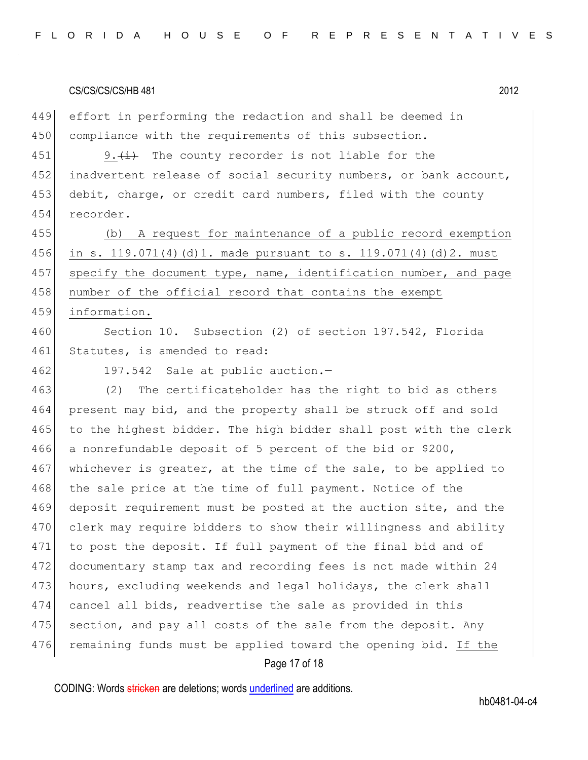449 effort in performing the redaction and shall be deemed in 450 compliance with the requirements of this subsection.

451 9.  $(i)$  The county recorder is not liable for the 452 inadvertent release of social security numbers, or bank account, 453 debit, charge, or credit card numbers, filed with the county 454 recorder.

455 (b) A request for maintenance of a public record exemption 456 in s. 119.071(4)(d)1. made pursuant to s. 119.071(4)(d)2. must 457 specify the document type, name, identification number, and page 458 number of the official record that contains the exempt 459 information.

460 Section 10. Subsection (2) of section 197.542, Florida 461 Statutes, is amended to read:

462 197.542 Sale at public auction.-

463 (2) The certificateholder has the right to bid as others 464 present may bid, and the property shall be struck off and sold 465 to the highest bidder. The high bidder shall post with the clerk 466 a nonrefundable deposit of 5 percent of the bid or \$200, 467 whichever is greater, at the time of the sale, to be applied to 468 the sale price at the time of full payment. Notice of the 469 deposit requirement must be posted at the auction site, and the 470 clerk may require bidders to show their willingness and ability 471 to post the deposit. If full payment of the final bid and of 472 documentary stamp tax and recording fees is not made within 24 473 hours, excluding weekends and legal holidays, the clerk shall 474 cancel all bids, readvertise the sale as provided in this 475 section, and pay all costs of the sale from the deposit. Any 476 remaining funds must be applied toward the opening bid. If the

## Page 17 of 18